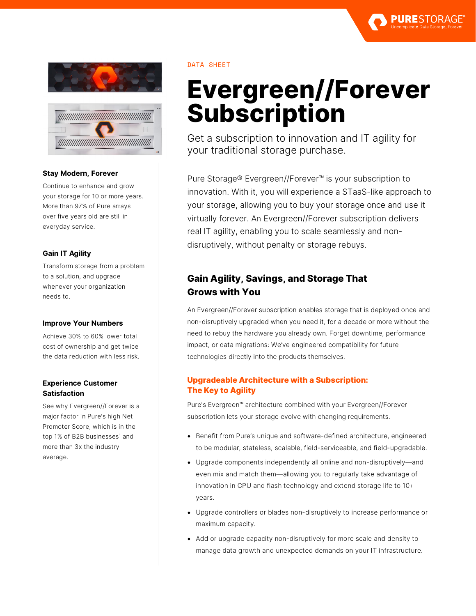



## **Stay Modern, Forever**

Continue to enhance and grow your storage for 10 or more years. More than 97% of Pure arrays over five years old are still in everyday service.

## **Gain IT Agility**

Transform storage from a problem to a solution, and upgrade whenever your organization needs to.

## **Improve Your Numbers**

Achieve 30% to 60% lower total cost of ownership and get twice the data reduction with less risk.

## **Experience Customer Satisfaction**

See why Evergreen//Forever is a major factor in Pure's high Net Promoter Score, which is in the top 1% of B2B businesses<sup>1</sup> and more than 3x the industry average.

## DATA SHEET

# **Evergreen//Forever Subscription**

Get a subscription to innovation and IT agility for your traditional storage purchase.

Pure Storage® Evergreen//Forever™ is your subscription to innovation. With it, you will experience a STaaS-like approach to your storage, allowing you to buy your storage once and use it virtually forever. An Evergreen//Forever subscription delivers real IT agility, enabling you to scale seamlessly and nondisruptively, without penalty or storage rebuys.

# **Gain Agility, Savings, and Storage That Grows with You**

An Evergreen//Forever subscription enables storage that is deployed once and non-disruptively upgraded when you need it, for a decade or more without the need to rebuy the hardware you already own. Forget downtime, performance impact, or data migrations: We've engineered compatibility for future technologies directly into the products themselves.

## **Upgradeable Architecture with a Subscription: The Key to Agility**

Pure's Evergreen™ architecture combined with your Evergreen//Forever subscription lets your storage evolve with changing requirements.

- Benefit from Pure's unique and software-defined architecture, engineered to be modular, stateless, scalable, field-serviceable, and field-upgradable.
- Upgrade components independently all online and non-disruptively—and even mix and match them—allowing you to regularly take advantage of innovation in CPU and flash technology and extend storage life to 10+ years.
- Upgrade controllers or blades non-disruptively to increase performance or maximum capacity.
- Add or upgrade capacity non-disruptively for more scale and density to manage data growth and unexpected demands on your IT infrastructure.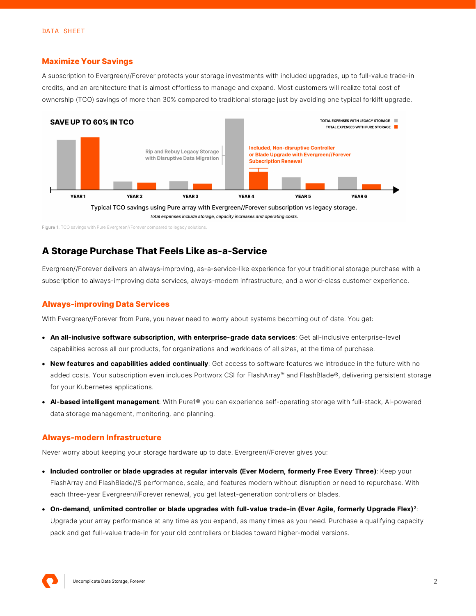#### **Maximize Your Savings**

A subscription to Evergreen//Forever protects your storage investments with included upgrades, up to full-value trade-in credits, and an architecture that is almost effortless to manage and expand. Most customers will realize total cost of ownership (TCO) savings of more than 30% compared to traditional storage just by avoiding one typical forklift upgrade.



Figure 1. TCO savings with Pure Evergreen//Forever compared to legacy solutions.

## **A Storage Purchase That Feels Like as-a-Service**

Evergreen//Forever delivers an always-improving, as-a-service-like experience for your traditional storage purchase with a subscription to always-improving data services, always-modern infrastructure, and a world-class customer experience.

#### **Always-improving Data Services**

With Evergreen//Forever from Pure, you never need to worry about systems becoming out of date. You get:

- **An all-inclusive software subscription, with enterprise-grade data services**: Get all-inclusive enterprise-level capabilities across all our products, for organizations and workloads of all sizes, at the time of purchase.
- **New features and capabilities added continually**: Get access to software features we introduce in the future with no added costs. Your subscription even includes Portworx CSI for FlashArray™ and FlashBlade®, delivering persistent storage for your Kubernetes applications.
- **AI-based intelligent management**: With Pure1® you can experience self-operating storage with full-stack, AI-powered data storage management, monitoring, and planning.

#### **Always-modern Infrastructure**

Never worry about keeping your storage hardware up to date. Evergreen//Forever gives you:

- **Included controller or blade upgrades at regular intervals (Ever Modern, formerly Free Every Three)**: Keep your FlashArray and FlashBlade//S performance, scale, and features modern without disruption or need to repurchase. With each three-year Evergreen//Forever renewal, you get latest-generation controllers or blades.
- **On-demand, unlimited controller or blade upgrades with full-value trade-in (Ever Agile, formerly Upgrade Flex)[2](#page-3-0)**: Upgrade your array performance at any time as you expand, as many times as you need. Purchase a qualifying capacity pack and get full-value trade-in for your old controllers or blades toward higher-model versions.

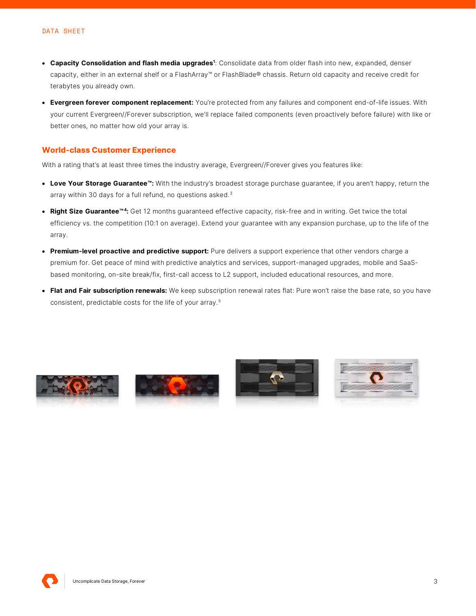- **Capacity Consolidation and flash media upgrades1** : Consolidate data from older flash into new, expanded, denser capacity, either in an external shelf or a FlashArray™ or FlashBlade® chassis. Return old capacity and receive credit for terabytes you already own.
- **Evergreen forever component replacement:** You're protected from any failures and component end-of-life issues. With your current Evergreen//Forever subscription, we'll replace failed components (even proactively before failure) with like or better ones, no matter how old your array is.

#### **World-class Customer Experience**

With a rating that's at least three times the industry average, Evergreen//Forever gives you features like:

- **Love Your Storage Guarantee™:** With the industry's broadest storage purchase guarantee, if you aren't happy, return the array within [3](#page-3-1)0 days for a full refund, no questions asked.<sup>3</sup>
- **Right Size Guarantee™[4:](#page-3-2)** Get 12 months guaranteed effective capacity, risk-free and in writing. Get twice the total efficiency vs. the competition (10:1 on average). Extend your guarantee with any expansion purchase, up to the life of the array.
- **Premium-level proactive and predictive support:** Pure delivers a support experience that other vendors charge a premium for. Get peace of mind with predictive analytics and services, support-managed upgrades, mobile and SaaSbased monitoring, on-site break/fix, first-call access to L2 support, included educational resources, and more.
- **Flat and Fair subscription renewals:** We keep subscription renewal rates flat: Pure won't raise the base rate, so you have consistent, predictable costs for the life of your array. [5](#page-3-3)